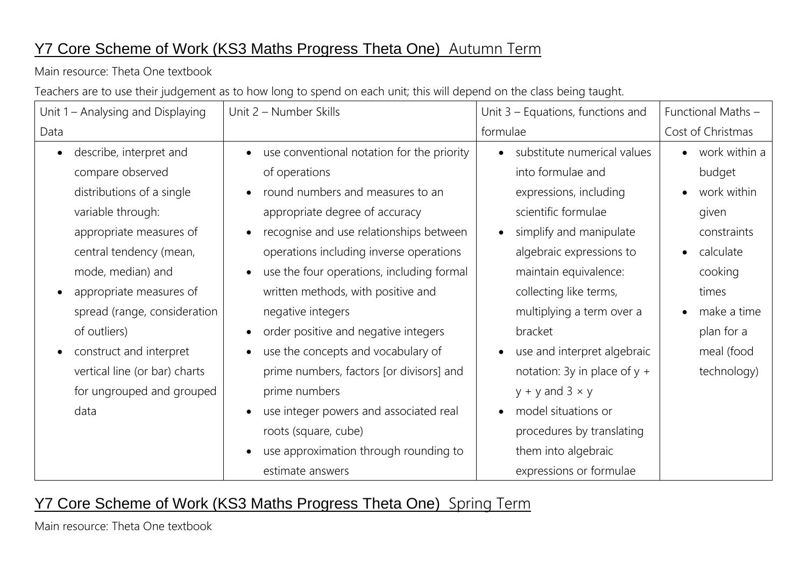## Y7 Core Scheme of Work (KS3 Maths Progress Theta One) Autumn Term

Main resource: Theta One textbook

Teachers are to use their judgement as to how long to spend on each unit; this will depend on the class being taught.

| Unit 1 - Analysing and Displaying | Unit 2 - Number Skills                                  | Unit $3$ – Equations, functions and      | Functional Maths -       |
|-----------------------------------|---------------------------------------------------------|------------------------------------------|--------------------------|
| Data                              |                                                         | formulae                                 | Cost of Christmas        |
| describe, interpret and           | use conventional notation for the priority<br>$\bullet$ | substitute numerical values<br>$\bullet$ | work within a            |
| compare observed                  | of operations                                           | into formulae and                        | budget                   |
| distributions of a single         | round numbers and measures to an<br>$\bullet$           | expressions, including                   | work within<br>$\bullet$ |
| variable through:                 | appropriate degree of accuracy                          | scientific formulae                      | given                    |
| appropriate measures of           | recognise and use relationships between                 | simplify and manipulate                  | constraints              |
| central tendency (mean,           | operations including inverse operations                 | algebraic expressions to                 | calculate<br>$\bullet$   |
| mode, median) and                 | use the four operations, including formal               | maintain equivalence:                    | cooking                  |
| appropriate measures of           | written methods, with positive and                      | collecting like terms,                   | times                    |
| spread (range, consideration      | negative integers                                       | multiplying a term over a                | make a time              |
| of outliers)                      | order positive and negative integers                    | bracket                                  | plan for a               |
| construct and interpret           | use the concepts and vocabulary of                      | use and interpret algebraic              | meal (food               |
| vertical line (or bar) charts     | prime numbers, factors [or divisors] and                | notation: 3y in place of $y +$           | technology)              |
| for ungrouped and grouped         | prime numbers                                           | $y + y$ and $3 \times y$                 |                          |
| data                              | use integer powers and associated real<br>$\bullet$     | model situations or                      |                          |
|                                   | roots (square, cube)                                    | procedures by translating                |                          |
|                                   | use approximation through rounding to                   | them into algebraic                      |                          |
|                                   | estimate answers                                        | expressions or formulae                  |                          |

## Y7 Core Scheme of Work (KS3 Maths Progress Theta One) Spring Term

Main resource: Theta One textbook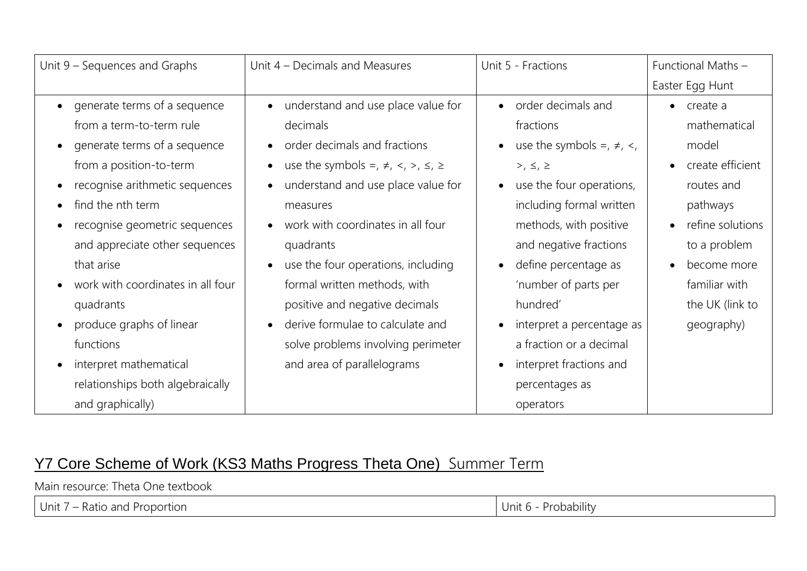| Unit 9 - Sequences and Graphs                  | Unit 4 – Decimals and Measures                    | Unit 5 - Fractions              | Functional Maths -            |
|------------------------------------------------|---------------------------------------------------|---------------------------------|-------------------------------|
|                                                |                                                   |                                 | Easter Egg Hunt               |
| generate terms of a sequence<br>$\bullet$      | • understand and use place value for              | order decimals and<br>$\bullet$ | create a<br>$\bullet$         |
| from a term-to-term rule                       | decimals                                          | fractions                       | mathematical                  |
| generate terms of a sequence<br>$\bullet$      | • order decimals and fractions                    | use the symbols =, $\neq$ , <,  | model                         |
| from a position-to-term                        | use the symbols =, $\neq$ , <, >, $\leq$ , $\geq$ | $>$ , $\leq$ , $\geq$           | create efficient<br>$\bullet$ |
| recognise arithmetic sequences<br>$\bullet$    | understand and use place value for                | use the four operations,        | routes and                    |
| find the nth term<br>$\bullet$                 | measures                                          | including formal written        | pathways                      |
| recognise geometric sequences<br>$\bullet$     | work with coordinates in all four                 | methods, with positive          | refine solutions<br>$\bullet$ |
| and appreciate other sequences                 | quadrants                                         | and negative fractions          | to a problem                  |
| that arise                                     | use the four operations, including                | define percentage as            | become more<br>$\bullet$      |
| work with coordinates in all four<br>$\bullet$ | formal written methods, with                      | 'number of parts per            | familiar with                 |
| quadrants                                      | positive and negative decimals                    | hundred'                        | the UK (link to               |
| produce graphs of linear<br>$\bullet$          | derive formulae to calculate and                  | interpret a percentage as       | geography)                    |
| functions                                      | solve problems involving perimeter                | a fraction or a decimal         |                               |
| interpret mathematical<br>$\bullet$            | and area of parallelograms                        | interpret fractions and         |                               |
| relationships both algebraically               |                                                   | percentages as                  |                               |
| and graphically)                               |                                                   | operators                       |                               |

## Y7 Core Scheme of Work (KS3 Maths Progress Theta One) Summer Term

Main resource: Theta One textbook

| $\perp$ Unit $\sim$<br>Probability<br>' – Ratio and Proportion |  |
|----------------------------------------------------------------|--|
|----------------------------------------------------------------|--|